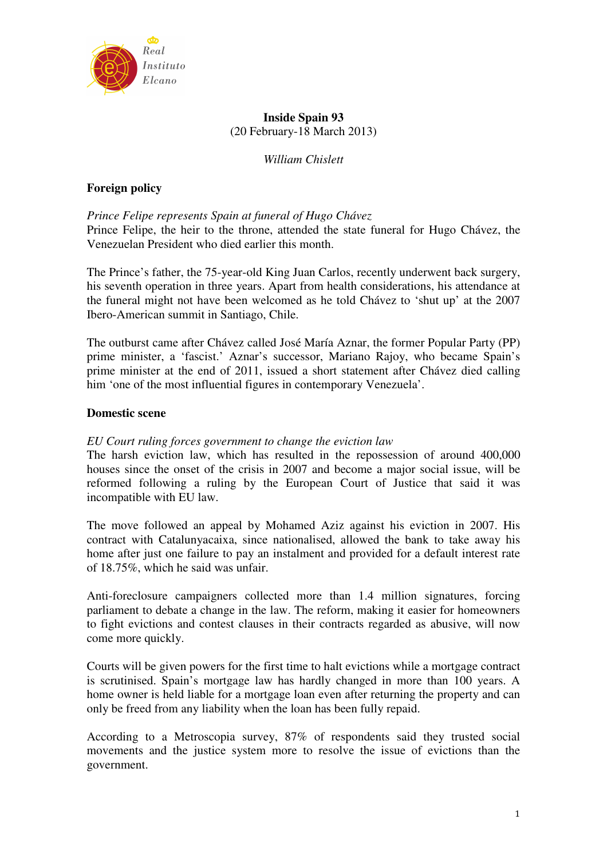

# **Inside Spain 93**  (20 February-18 March 2013)

*William Chislett* 

# **Foreign policy**

# *Prince Felipe represents Spain at funeral of Hugo Chávez*

Prince Felipe, the heir to the throne, attended the state funeral for Hugo Chávez, the Venezuelan President who died earlier this month.

The Prince's father, the 75-year-old King Juan Carlos, recently underwent back surgery, his seventh operation in three years. Apart from health considerations, his attendance at the funeral might not have been welcomed as he told Chávez to 'shut up' at the 2007 Ibero-American summit in Santiago, Chile.

The outburst came after Chávez called José María Aznar, the former Popular Party (PP) prime minister, a 'fascist.' Aznar's successor, Mariano Rajoy, who became Spain's prime minister at the end of 2011, issued a short statement after Chávez died calling him 'one of the most influential figures in contemporary Venezuela'.

# **Domestic scene**

## *EU Court ruling forces government to change the eviction law*

The harsh eviction law, which has resulted in the repossession of around 400,000 houses since the onset of the crisis in 2007 and become a major social issue, will be reformed following a ruling by the European Court of Justice that said it was incompatible with EU law.

The move followed an appeal by Mohamed Aziz against his eviction in 2007. His contract with Catalunyacaixa, since nationalised, allowed the bank to take away his home after just one failure to pay an instalment and provided for a default interest rate of 18.75%, which he said was unfair.

Anti-foreclosure campaigners collected more than 1.4 million signatures, forcing parliament to debate a change in the law. The reform, making it easier for homeowners to fight evictions and contest clauses in their contracts regarded as abusive, will now come more quickly.

Courts will be given powers for the first time to halt evictions while a mortgage contract is scrutinised. Spain's mortgage law has hardly changed in more than 100 years. A home owner is held liable for a mortgage loan even after returning the property and can only be freed from any liability when the loan has been fully repaid.

According to a Metroscopia survey, 87% of respondents said they trusted social movements and the justice system more to resolve the issue of evictions than the government.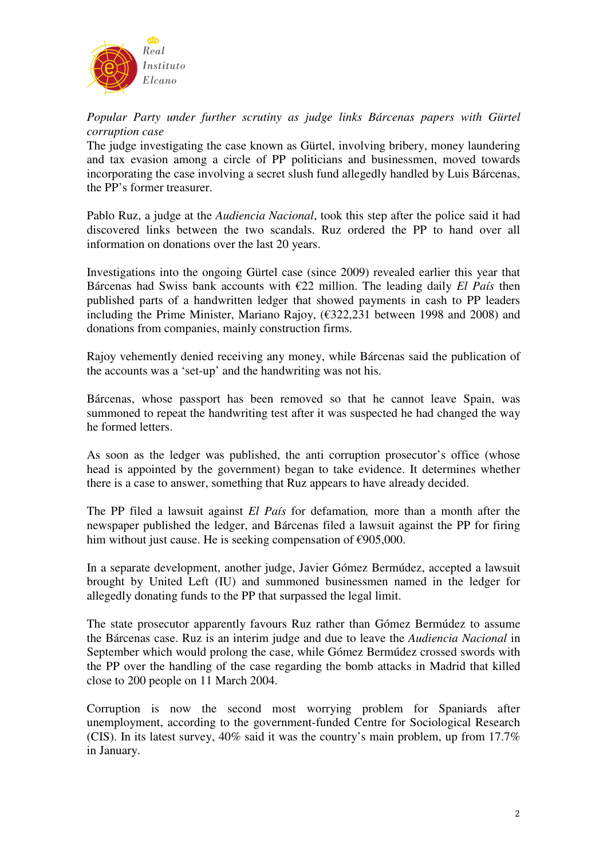

*Popular Party under further scrutiny as judge links Bárcenas papers with Gürtel corruption case* 

The judge investigating the case known as Gürtel, involving bribery, money laundering and tax evasion among a circle of PP politicians and businessmen, moved towards incorporating the case involving a secret slush fund allegedly handled by Luis Bárcenas, the PP's former treasurer.

Pablo Ruz, a judge at the *Audiencia Nacional*, took this step after the police said it had discovered links between the two scandals. Ruz ordered the PP to hand over all information on donations over the last 20 years.

Investigations into the ongoing Gürtel case (since 2009) revealed earlier this year that Bárcenas had Swiss bank accounts with €22 million. The leading daily *El País* then published parts of a handwritten ledger that showed payments in cash to PP leaders including the Prime Minister, Mariano Rajoy, (€322,231 between 1998 and 2008) and donations from companies, mainly construction firms.

Rajoy vehemently denied receiving any money, while Bárcenas said the publication of the accounts was a 'set-up' and the handwriting was not his.

Bárcenas, whose passport has been removed so that he cannot leave Spain, was summoned to repeat the handwriting test after it was suspected he had changed the way he formed letters.

As soon as the ledger was published, the anti corruption prosecutor's office (whose head is appointed by the government) began to take evidence. It determines whether there is a case to answer, something that Ruz appears to have already decided.

The PP filed a lawsuit against *El País* for defamation*,* more than a month after the newspaper published the ledger, and Bárcenas filed a lawsuit against the PP for firing him without just cause. He is seeking compensation of €905,000.

In a separate development, another judge, Javier Gómez Bermúdez, accepted a lawsuit brought by United Left (IU) and summoned businessmen named in the ledger for allegedly donating funds to the PP that surpassed the legal limit.

The state prosecutor apparently favours Ruz rather than Gómez Bermúdez to assume the Bárcenas case. Ruz is an interim judge and due to leave the *Audiencia Nacional* in September which would prolong the case, while Gómez Bermúdez crossed swords with the PP over the handling of the case regarding the bomb attacks in Madrid that killed close to 200 people on 11 March 2004.

Corruption is now the second most worrying problem for Spaniards after unemployment, according to the government-funded Centre for Sociological Research (CIS). In its latest survey, 40% said it was the country's main problem, up from 17.7% in January.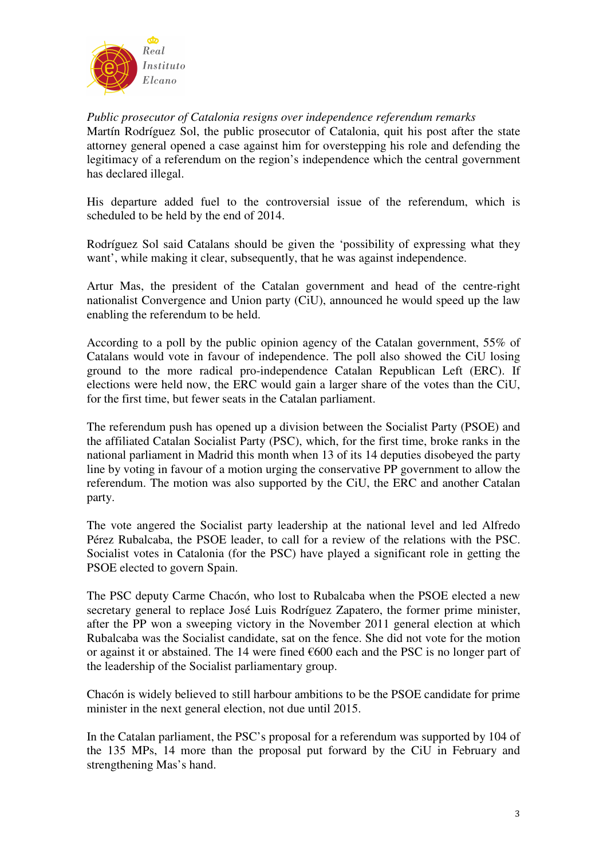

*Public prosecutor of Catalonia resigns over independence referendum remarks*  Martín Rodríguez Sol, the public prosecutor of Catalonia, quit his post after the state attorney general opened a case against him for overstepping his role and defending the legitimacy of a referendum on the region's independence which the central government has declared illegal.

His departure added fuel to the controversial issue of the referendum, which is scheduled to be held by the end of 2014.

Rodríguez Sol said Catalans should be given the 'possibility of expressing what they want', while making it clear, subsequently, that he was against independence.

Artur Mas, the president of the Catalan government and head of the centre-right nationalist Convergence and Union party (CiU), announced he would speed up the law enabling the referendum to be held.

According to a poll by the public opinion agency of the Catalan government, 55% of Catalans would vote in favour of independence. The poll also showed the CiU losing ground to the more radical pro-independence Catalan Republican Left (ERC). If elections were held now, the ERC would gain a larger share of the votes than the CiU, for the first time, but fewer seats in the Catalan parliament.

The referendum push has opened up a division between the Socialist Party (PSOE) and the affiliated Catalan Socialist Party (PSC), which, for the first time, broke ranks in the national parliament in Madrid this month when 13 of its 14 deputies disobeyed the party line by voting in favour of a motion urging the conservative PP government to allow the referendum. The motion was also supported by the CiU, the ERC and another Catalan party.

The vote angered the Socialist party leadership at the national level and led Alfredo Pérez Rubalcaba, the PSOE leader, to call for a review of the relations with the PSC. Socialist votes in Catalonia (for the PSC) have played a significant role in getting the PSOE elected to govern Spain.

The PSC deputy Carme Chacón, who lost to Rubalcaba when the PSOE elected a new secretary general to replace José Luis Rodríguez Zapatero, the former prime minister, after the PP won a sweeping victory in the November 2011 general election at which Rubalcaba was the Socialist candidate, sat on the fence. She did not vote for the motion or against it or abstained. The 14 were fined  $€600$  each and the PSC is no longer part of the leadership of the Socialist parliamentary group.

Chacón is widely believed to still harbour ambitions to be the PSOE candidate for prime minister in the next general election, not due until 2015.

In the Catalan parliament, the PSC's proposal for a referendum was supported by 104 of the 135 MPs, 14 more than the proposal put forward by the CiU in February and strengthening Mas's hand.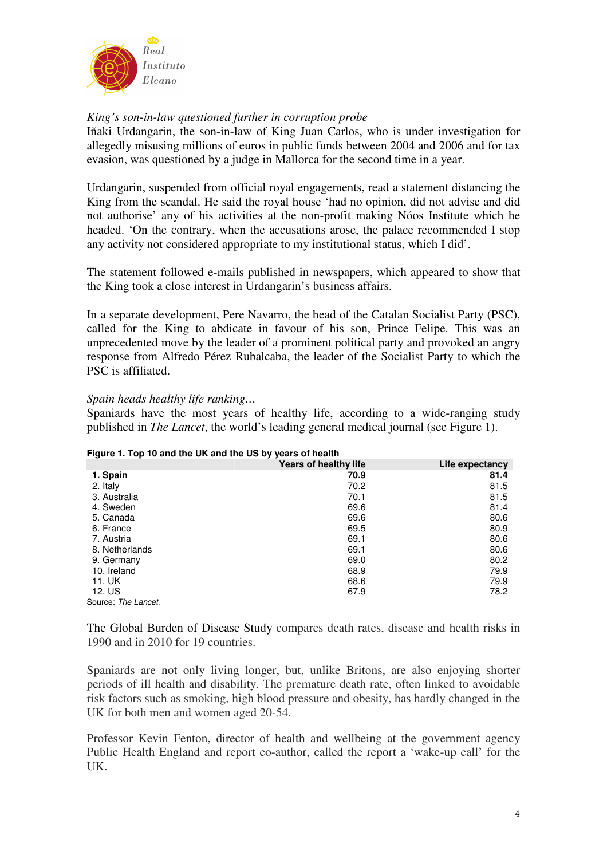

# *King's son-in-law questioned further in corruption probe*

Iñaki Urdangarin, the son-in-law of King Juan Carlos, who is under investigation for allegedly misusing millions of euros in public funds between 2004 and 2006 and for tax evasion, was questioned by a judge in Mallorca for the second time in a year.

Urdangarin, suspended from official royal engagements, read a statement distancing the King from the scandal. He said the royal house 'had no opinion, did not advise and did not authorise' any of his activities at the non-profit making Nóos Institute which he headed. 'On the contrary, when the accusations arose, the palace recommended I stop any activity not considered appropriate to my institutional status, which I did'.

The statement followed e-mails published in newspapers, which appeared to show that the King took a close interest in Urdangarin's business affairs.

In a separate development, Pere Navarro, the head of the Catalan Socialist Party (PSC), called for the King to abdicate in favour of his son, Prince Felipe. This was an unprecedented move by the leader of a prominent political party and provoked an angry response from Alfredo Pérez Rubalcaba, the leader of the Socialist Party to which the PSC is affiliated.

# *Spain heads healthy life ranking…*

Spaniards have the most years of healthy life, according to a wide-ranging study published in *The Lancet*, the world's leading general medical journal (see Figure 1).

|                | <b>Years of healthy life</b> | Life expectancy |
|----------------|------------------------------|-----------------|
| 1. Spain       | 70.9                         | 81.4            |
| 2. Italy       | 70.2                         | 81.5            |
| 3. Australia   | 70.1                         | 81.5            |
| 4. Sweden      | 69.6                         | 81.4            |
| 5. Canada      | 69.6                         | 80.6            |
| 6. France      | 69.5                         | 80.9            |
| 7. Austria     | 69.1                         | 80.6            |
| 8. Netherlands | 69.1                         | 80.6            |
| 9. Germany     | 69.0                         | 80.2            |
| 10. Ireland    | 68.9                         | 79.9            |
| 11. UK         | 68.6                         | 79.9            |
| 12. US         | 67.9                         | 78.2            |

#### **Figure 1. Top 10 and the UK and the US by years of health**

Source: The Lancet.

The Global Burden of Disease Study compares death rates, disease and health risks in 1990 and in 2010 for 19 countries.

Spaniards are not only living longer, but, unlike Britons, are also enjoying shorter periods of ill health and disability. The premature death rate, often linked to avoidable risk factors such as smoking, high blood pressure and obesity, has hardly changed in the UK for both men and women aged 20-54.

Professor Kevin Fenton, director of health and wellbeing at the government agency Public Health England and report co-author, called the report a 'wake-up call' for the UK.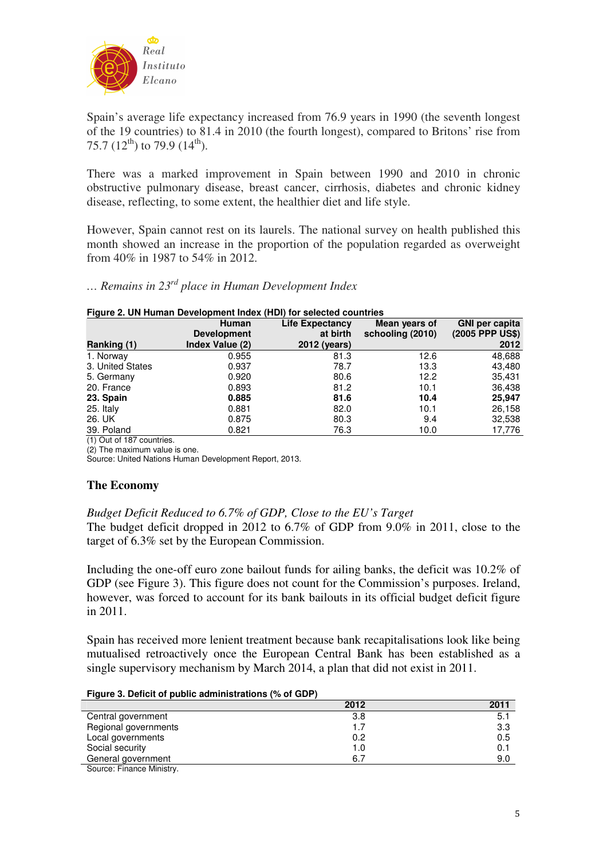

Spain's average life expectancy increased from 76.9 years in 1990 (the seventh longest of the 19 countries) to 81.4 in 2010 (the fourth longest), compared to Britons' rise from 75.7 (12<sup>th</sup>) to 79.9 (14<sup>th</sup>).

There was a marked improvement in Spain between 1990 and 2010 in chronic obstructive pulmonary disease, breast cancer, cirrhosis, diabetes and chronic kidney disease, reflecting, to some extent, the healthier diet and life style.

However, Spain cannot rest on its laurels. The national survey on health published this month showed an increase in the proportion of the population regarded as overweight from 40% in 1987 to 54% in 2012.

*… Remains in 23rd place in Human Development Index* 

#### **Figure 2. UN Human Development Index (HDI) for selected countries**

|                          | <b>Human</b>       | <b>Life Expectancy</b> | Mean years of    | <b>GNI</b> per capita |
|--------------------------|--------------------|------------------------|------------------|-----------------------|
|                          | <b>Development</b> | at birth               | schooling (2010) | (2005 PPP US\$)       |
| Ranking (1)              | Index Value (2)    | 2012 (years)           |                  | 2012                  |
| 1. Norway                | 0.955              | 81.3                   | 12.6             | 48,688                |
| 3. United States         | 0.937              | 78.7                   | 13.3             | 43,480                |
| 5. Germany               | 0.920              | 80.6                   | 12.2             | 35,431                |
| 20. France               | 0.893              | 81.2                   | 10.1             | 36,438                |
| 23. Spain                | 0.885              | 81.6                   | 10.4             | 25,947                |
| 25. Italy                | 0.881              | 82.0                   | 10.1             | 26,158                |
| 26. UK                   | 0.875              | 80.3                   | 9.4              | 32,538                |
| 39. Poland               | 0.821              | 76.3                   | 10.0             | 17,776                |
| $(4)$ $0.44407$ $0.4407$ |                    |                        |                  |                       |

(1) Out of 187 countries.

(2) The maximum value is one.

Source: United Nations Human Development Report, 2013.

## **The Economy**

## *Budget Deficit Reduced to 6.7% of GDP, Close to the EU's Target*

The budget deficit dropped in 2012 to 6.7% of GDP from 9.0% in 2011, close to the target of 6.3% set by the European Commission.

Including the one-off euro zone bailout funds for ailing banks, the deficit was 10.2% of GDP (see Figure 3). This figure does not count for the Commission's purposes. Ireland, however, was forced to account for its bank bailouts in its official budget deficit figure in 2011.

Spain has received more lenient treatment because bank recapitalisations look like being mutualised retroactively once the European Central Bank has been established as a single supervisory mechanism by March 2014, a plan that did not exist in 2011.

#### **Figure 3. Deficit of public administrations (% of GDP)**

|                                           | 2012 | 2011 |
|-------------------------------------------|------|------|
| Central government                        | 3.8  | 5.1  |
| Regional governments                      |      | 3.3  |
| Local governments                         | 0.2  | 0.5  |
| Social security                           | 1.0  | 0.1  |
| General government                        | 6.7  | 9.0  |
| $\sim$ $\sim$ $\sim$ $\sim$ $\sim$ $\sim$ |      |      |

Source: Finance Ministry.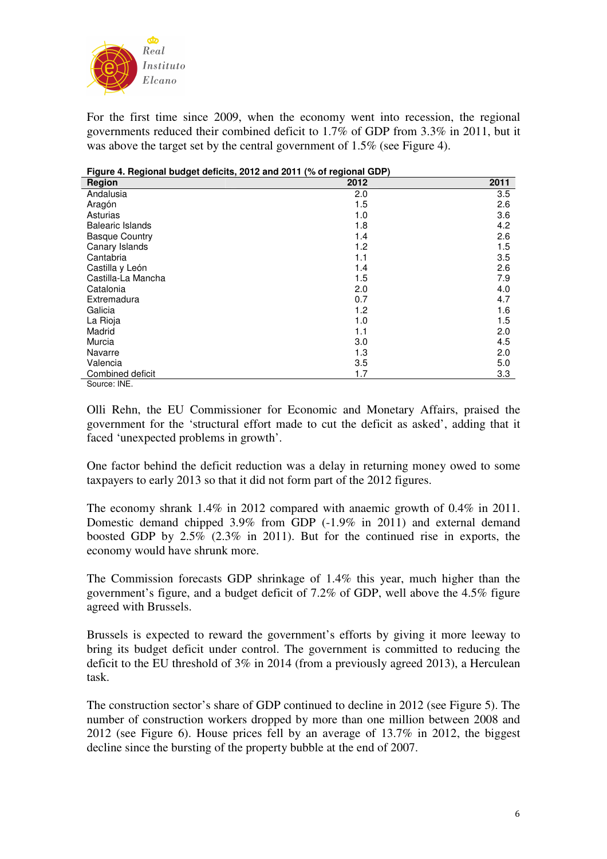

For the first time since 2009, when the economy went into recession, the regional governments reduced their combined deficit to 1.7% of GDP from 3.3% in 2011, but it was above the target set by the central government of 1.5% (see Figure 4).

| Figure 4. Regional budget deficits, 2012 and 2011 (% of regional GDP) |      |         |  |  |
|-----------------------------------------------------------------------|------|---------|--|--|
| Region                                                                | 2012 | 2011    |  |  |
| Andalusia                                                             | 2.0  | 3.5     |  |  |
| Aragón                                                                | 1.5  | 2.6     |  |  |
| Asturias                                                              | 1.0  | 3.6     |  |  |
| <b>Balearic Islands</b>                                               | 1.8  | 4.2     |  |  |
| <b>Basque Country</b>                                                 | 1.4  | 2.6     |  |  |
| Canary Islands                                                        | 1.2  | 1.5     |  |  |
| Cantabria                                                             | 1.1  | $3.5\,$ |  |  |
| Castilla y León                                                       | 1.4  | 2.6     |  |  |
| Castilla-La Mancha                                                    | 1.5  | 7.9     |  |  |
| Catalonia                                                             | 2.0  | 4.0     |  |  |
| Extremadura                                                           | 0.7  | 4.7     |  |  |
| Galicia                                                               | 1.2  | 1.6     |  |  |
| La Rioja                                                              | 1.0  | 1.5     |  |  |
| Madrid                                                                | 1.1  | 2.0     |  |  |
| Murcia                                                                | 3.0  | 4.5     |  |  |
| Navarre                                                               | 1.3  | 2.0     |  |  |
| Valencia                                                              | 3.5  | 5.0     |  |  |
| Combined deficit                                                      | 1.7  | 3.3     |  |  |
| Source: INE.                                                          |      |         |  |  |

Olli Rehn, the EU Commissioner for Economic and Monetary Affairs, praised the government for the 'structural effort made to cut the deficit as asked', adding that it faced 'unexpected problems in growth'.

One factor behind the deficit reduction was a delay in returning money owed to some taxpayers to early 2013 so that it did not form part of the 2012 figures.

The economy shrank 1.4% in 2012 compared with anaemic growth of 0.4% in 2011. Domestic demand chipped 3.9% from GDP (-1.9% in 2011) and external demand boosted GDP by 2.5% (2.3% in 2011). But for the continued rise in exports, the economy would have shrunk more.

The Commission forecasts GDP shrinkage of 1.4% this year, much higher than the government's figure, and a budget deficit of 7.2% of GDP, well above the 4.5% figure agreed with Brussels.

Brussels is expected to reward the government's efforts by giving it more leeway to bring its budget deficit under control. The government is committed to reducing the deficit to the EU threshold of 3% in 2014 (from a previously agreed 2013), a Herculean task.

The construction sector's share of GDP continued to decline in 2012 (see Figure 5). The number of construction workers dropped by more than one million between 2008 and 2012 (see Figure 6). House prices fell by an average of 13.7% in 2012, the biggest decline since the bursting of the property bubble at the end of 2007.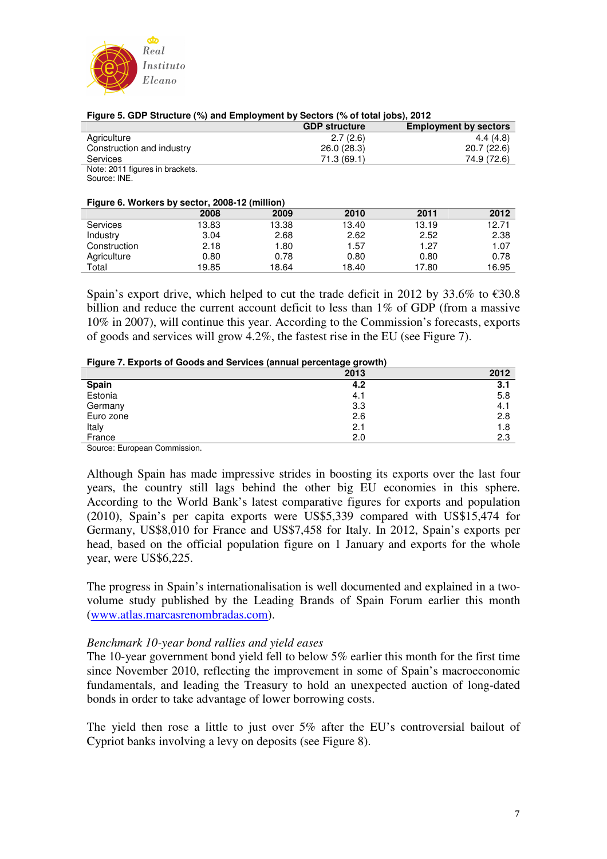

|                                 | <b>GDP structure</b> | <b>Employment by sectors</b> |
|---------------------------------|----------------------|------------------------------|
| Agriculture                     | 2.7(2.6)             | 4.4(4.8)                     |
| Construction and industry       | 26.0(28.3)           | 20.7(22.6)                   |
| <b>Services</b>                 | 71.3(69.1)           | 74.9 (72.6)                  |
| Note: 2011 figures in brackets. |                      |                              |
| Source: INE.                    |                      |                              |

#### **Figure 5. GDP Structure (%) and Employment by Sectors (% of total jobs), 2012**

**Figure 6. Workers by sector, 2008-12 (million)** 

| $\frac{1}{2}$ , $\frac{1}{2}$ , $\frac{1}{2}$ , $\frac{1}{2}$ , $\frac{1}{2}$ , $\frac{1}{2}$ , $\frac{1}{2}$ , $\frac{1}{2}$ , $\frac{1}{2}$ , $\frac{1}{2}$ , $\frac{1}{2}$ , $\frac{1}{2}$ |       |       |       |       |       |
|-----------------------------------------------------------------------------------------------------------------------------------------------------------------------------------------------|-------|-------|-------|-------|-------|
|                                                                                                                                                                                               | 2008  | 2009  | 2010  | 2011  | 2012  |
| Services                                                                                                                                                                                      | 13.83 | 13.38 | 13.40 | 13.19 | 12.71 |
| Industry                                                                                                                                                                                      | 3.04  | 2.68  | 2.62  | 2.52  | 2.38  |
| Construction                                                                                                                                                                                  | 2.18  | 1.80  | 1.57  | 1.27  | 1.07  |
| Agriculture                                                                                                                                                                                   | 0.80  | 0.78  | 0.80  | 0.80  | 0.78  |
| Total                                                                                                                                                                                         | 19.85 | 18.64 | 18.40 | 17.80 | 16.95 |

Spain's export drive, which helped to cut the trade deficit in 2012 by 33.6% to  $\epsilon$ 30.8 billion and reduce the current account deficit to less than 1% of GDP (from a massive 10% in 2007), will continue this year. According to the Commission's forecasts, exports of goods and services will grow 4.2%, the fastest rise in the EU (see Figure 7).

#### **Figure 7. Exports of Goods and Services (annual percentage growth)**

| . .                                                      | - -  |      |
|----------------------------------------------------------|------|------|
|                                                          | 2013 | 2012 |
|                                                          | 4.2  | 3.1  |
| Spain<br>Estonia                                         | 4.1  | 5.8  |
| Germany                                                  | 3.3  | 4.1  |
| Euro zone                                                | 2.6  | 2.8  |
| Italy                                                    | 2.1  | 1.8  |
| France                                                   | 2.0  | 2.3  |
| $\overline{\phantom{0}}$<br>$\sim$<br>$\sim$<br>$\cdots$ |      |      |

Source: European Commission.

Although Spain has made impressive strides in boosting its exports over the last four years, the country still lags behind the other big EU economies in this sphere. According to the World Bank's latest comparative figures for exports and population (2010), Spain's per capita exports were US\$5,339 compared with US\$15,474 for Germany, US\$8,010 for France and US\$7,458 for Italy. In 2012, Spain's exports per head, based on the official population figure on 1 January and exports for the whole year, were US\$6,225.

The progress in Spain's internationalisation is well documented and explained in a twovolume study published by the Leading Brands of Spain Forum earlier this month (www.atlas.marcasrenombradas.com).

#### *Benchmark 10-year bond rallies and yield eases*

The 10-year government bond yield fell to below 5% earlier this month for the first time since November 2010, reflecting the improvement in some of Spain's macroeconomic fundamentals, and leading the Treasury to hold an unexpected auction of long-dated bonds in order to take advantage of lower borrowing costs.

The yield then rose a little to just over 5% after the EU's controversial bailout of Cypriot banks involving a levy on deposits (see Figure 8).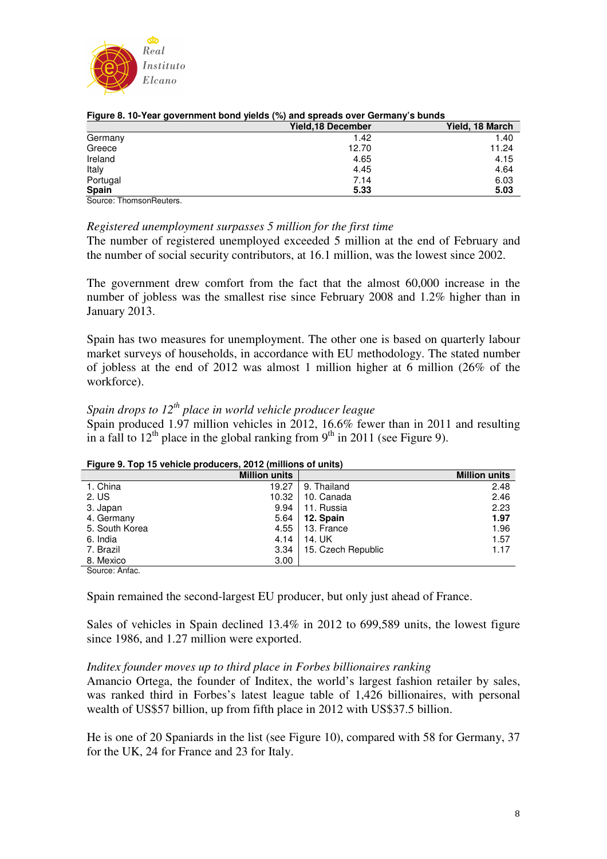

| $\tilde{\phantom{a}}$<br>$\tilde{\phantom{a}}$ | Yield, 18 December | Yield, 18 March |
|------------------------------------------------|--------------------|-----------------|
| Germany                                        | 1.42               | 1.40            |
| Greece                                         | 12.70              | 11.24           |
| Ireland                                        | 4.65               | 4.15            |
| Italy                                          | 4.45               | 4.64            |
| Portugal                                       | 7.14               | 6.03            |
| Spain                                          | 5.33               | 5.03            |
| Ostrono - Thomas - A Decition                  |                    |                 |

#### **Figure 8. 10-Year government bond yields (%) and spreads over Germany's bunds**

Source: ThomsonReuters.

## *Registered unemployment surpasses 5 million for the first time*

The number of registered unemployed exceeded 5 million at the end of February and the number of social security contributors, at 16.1 million, was the lowest since 2002.

The government drew comfort from the fact that the almost 60,000 increase in the number of jobless was the smallest rise since February 2008 and 1.2% higher than in January 2013.

Spain has two measures for unemployment. The other one is based on quarterly labour market surveys of households, in accordance with EU methodology. The stated number of jobless at the end of 2012 was almost 1 million higher at 6 million (26% of the workforce).

# *Spain drops to 12th place in world vehicle producer league*

Spain produced 1.97 million vehicles in 2012, 16.6% fewer than in 2011 and resulting in a fall to  $12<sup>th</sup>$  place in the global ranking from  $9<sup>th</sup>$  in 2011 (see Figure 9).

| <b>Tryald Strip To Venicia produccio, 2012</b> (immone of unite) |                      |                    |                      |  |  |
|------------------------------------------------------------------|----------------------|--------------------|----------------------|--|--|
|                                                                  | <b>Million units</b> |                    | <b>Million units</b> |  |  |
| 1. China                                                         | 19.27                | 9. Thailand        | 2.48                 |  |  |
| 2. US                                                            | 10.32                | 10. Canada         | 2.46                 |  |  |
| 3. Japan                                                         | 9.94                 | 11. Russia         | 2.23                 |  |  |
| 4. Germany                                                       | 5.64                 | 12. Spain          | 1.97                 |  |  |
| 5. South Korea                                                   | 4.55                 | 13. France         | 1.96                 |  |  |
| 6. India                                                         | 4.14                 | 14. UK             | 1.57                 |  |  |
| 7. Brazil                                                        | 3.34                 | 15. Czech Republic | 1.17                 |  |  |
| 8. Mexico                                                        | 3.00                 |                    |                      |  |  |
| $\sim$ $\sim$ $\sim$                                             |                      |                    |                      |  |  |

### **Figure 9. Top 15 vehicle producers, 2012 (millions of units)**

Source: Anfac.

Spain remained the second-largest EU producer, but only just ahead of France.

Sales of vehicles in Spain declined 13.4% in 2012 to 699,589 units, the lowest figure since 1986, and 1.27 million were exported.

## *Inditex founder moves up to third place in Forbes billionaires ranking*

Amancio Ortega, the founder of Inditex, the world's largest fashion retailer by sales, was ranked third in Forbes's latest league table of 1,426 billionaires, with personal wealth of US\$57 billion, up from fifth place in 2012 with US\$37.5 billion.

He is one of 20 Spaniards in the list (see Figure 10), compared with 58 for Germany, 37 for the UK, 24 for France and 23 for Italy.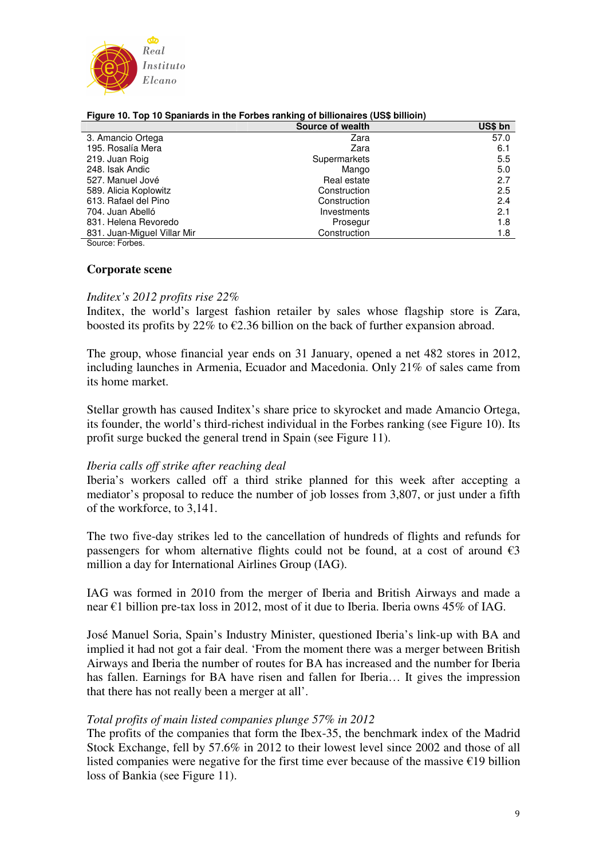

|                             | Source of wealth | US\$ bn |  |
|-----------------------------|------------------|---------|--|
| 3. Amancio Ortega           | Zara             | 57.0    |  |
| 195. Rosalía Mera           | Zara             | 6.1     |  |
| 219. Juan Roig              | Supermarkets     | 5.5     |  |
| 248. Isak Andic             | Mango            | 5.0     |  |
| 527. Manuel Jové            | Real estate      | 2.7     |  |
| 589. Alicia Koplowitz       | Construction     | 2.5     |  |
| 613. Rafael del Pino        | Construction     | 2.4     |  |
| 704. Juan Abelló            | Investments      | 2.1     |  |
| 831. Helena Revoredo        | Prosegur         | 1.8     |  |
| 831. Juan-Miguel Villar Mir | Construction     | 1.8     |  |

#### **Figure 10. Top 10 Spaniards in the Forbes ranking of billionaires (US\$ billioin)**

Source: Forbes.

#### **Corporate scene**

#### *Inditex's 2012 profits rise 22%*

Inditex, the world's largest fashion retailer by sales whose flagship store is Zara, boosted its profits by 22% to  $\epsilon$ 2.36 billion on the back of further expansion abroad.

The group, whose financial year ends on 31 January, opened a net 482 stores in 2012, including launches in Armenia, Ecuador and Macedonia. Only 21% of sales came from its home market.

Stellar growth has caused Inditex's share price to skyrocket and made Amancio Ortega, its founder, the world's third-richest individual in the Forbes ranking (see Figure 10). Its profit surge bucked the general trend in Spain (see Figure 11).

#### *Iberia calls off strike after reaching deal*

Iberia's workers called off a third strike planned for this week after accepting a mediator's proposal to reduce the number of job losses from 3,807, or just under a fifth of the workforce, to 3,141.

The two five-day strikes led to the cancellation of hundreds of flights and refunds for passengers for whom alternative flights could not be found, at a cost of around  $\epsilon$ 3 million a day for International Airlines Group (IAG).

IAG was formed in 2010 from the merger of Iberia and British Airways and made a near €1 billion pre-tax loss in 2012, most of it due to Iberia. Iberia owns 45% of IAG.

José Manuel Soria, Spain's Industry Minister, questioned Iberia's link-up with BA and implied it had not got a fair deal. 'From the moment there was a merger between British Airways and Iberia the number of routes for BA has increased and the number for Iberia has fallen. Earnings for BA have risen and fallen for Iberia… It gives the impression that there has not really been a merger at all'.

#### *Total profits of main listed companies plunge 57% in 2012*

The profits of the companies that form the Ibex-35, the benchmark index of the Madrid Stock Exchange, fell by 57.6% in 2012 to their lowest level since 2002 and those of all listed companies were negative for the first time ever because of the massive  $\epsilon$ 19 billion loss of Bankia (see Figure 11).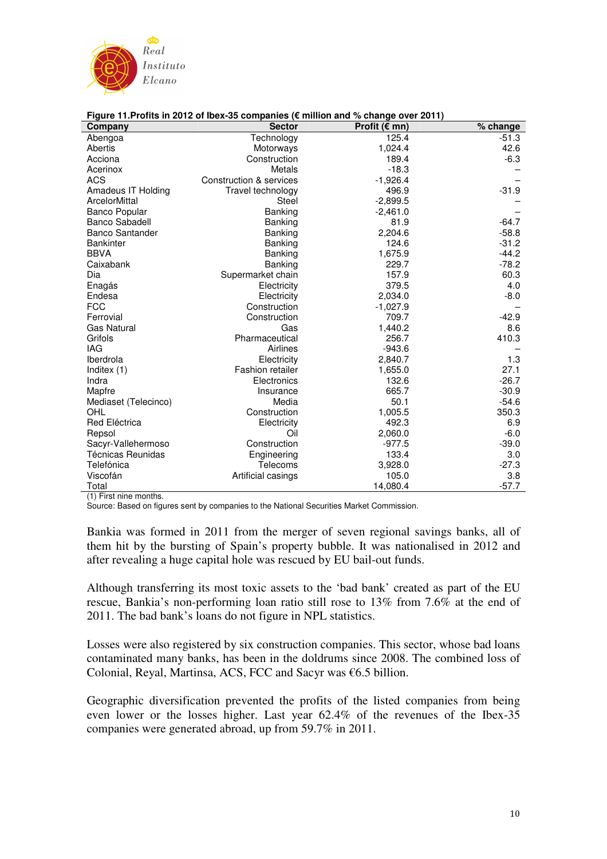

| Company                  | <b>Sector</b>           | Profit ( $\varepsilon$ mn) | % change |
|--------------------------|-------------------------|----------------------------|----------|
| Abengoa                  | Technology              | 125.4                      | $-51.3$  |
| Abertis                  | Motorways               | 1,024.4                    | 42.6     |
| Acciona                  | Construction            | 189.4                      | $-6.3$   |
| Acerinox                 | Metals                  | $-18.3$                    |          |
| <b>ACS</b>               | Construction & services | $-1,926.4$                 |          |
| Amadeus IT Holding       | Travel technology       | 496.9                      | $-31.9$  |
| ArcelorMittal            | Steel                   | $-2,899.5$                 |          |
| <b>Banco Popular</b>     | Banking                 | $-2,461.0$                 |          |
| <b>Banco Sabadell</b>    | Banking                 | 81.9                       | $-64.7$  |
| <b>Banco Santander</b>   | Banking                 | 2,204.6                    | $-58.8$  |
| <b>Bankinter</b>         | Banking                 | 124.6                      | $-31.2$  |
| <b>BBVA</b>              | Banking                 | 1,675.9                    | $-44.2$  |
| Caixabank                | <b>Banking</b>          | 229.7                      | $-78.2$  |
| Dia                      | Supermarket chain       | 157.9                      | 60.3     |
| Enagás                   | Electricity             | 379.5                      | 4.0      |
| Endesa                   | Electricity             | 2,034.0                    | $-8.0$   |
| <b>FCC</b>               | Construction            | $-1,027.9$                 |          |
| Ferrovial                | Construction            | 709.7                      | $-42.9$  |
| <b>Gas Natural</b>       | Gas                     | 1,440.2                    | 8.6      |
| Grifols                  | Pharmaceutical          | 256.7                      | 410.3    |
| <b>IAG</b>               | Airlines                | $-943.6$                   |          |
| Iberdrola                | Electricity             | 2,840.7                    | 1.3      |
| Inditex (1)              | <b>Fashion retailer</b> | 1,655.0                    | 27.1     |
| Indra                    | Electronics             | 132.6                      | $-26.7$  |
| Mapfre                   | Insurance               | 665.7                      | $-30.9$  |
| Mediaset (Telecinco)     | Media                   | 50.1                       | $-54.6$  |
| OHL                      | Construction            | 1,005.5                    | 350.3    |
| Red Eléctrica            | Electricity             | 492.3                      | 6.9      |
| Repsol                   | Oil                     | 2,060.0                    | $-6.0$   |
| Sacyr-Vallehermoso       | Construction            | $-977.5$                   | $-39.0$  |
| <b>Técnicas Reunidas</b> | Engineering             | 133.4                      | 3.0      |
| Telefónica               | Telecoms                | 3,928.0                    | $-27.3$  |
| Viscofán                 | Artificial casings      | 105.0                      | 3.8      |
| Total                    |                         | 14,080.4                   | $-57.7$  |

#### **Figure 11.Profits in 2012 of Ibex-35 companies (€ million and % change over 2011)**

(1) First nine months.

Source: Based on figures sent by companies to the National Securities Market Commission.

Bankia was formed in 2011 from the merger of seven regional savings banks, all of them hit by the bursting of Spain's property bubble. It was nationalised in 2012 and after revealing a huge capital hole was rescued by EU bail-out funds.

Although transferring its most toxic assets to the 'bad bank' created as part of the EU rescue, Bankia's non-performing loan ratio still rose to 13% from 7.6% at the end of 2011. The bad bank's loans do not figure in NPL statistics.

Losses were also registered by six construction companies. This sector, whose bad loans contaminated many banks, has been in the doldrums since 2008. The combined loss of Colonial, Reyal, Martinsa, ACS, FCC and Sacyr was €6.5 billion.

Geographic diversification prevented the profits of the listed companies from being even lower or the losses higher. Last year 62.4% of the revenues of the Ibex-35 companies were generated abroad, up from 59.7% in 2011.